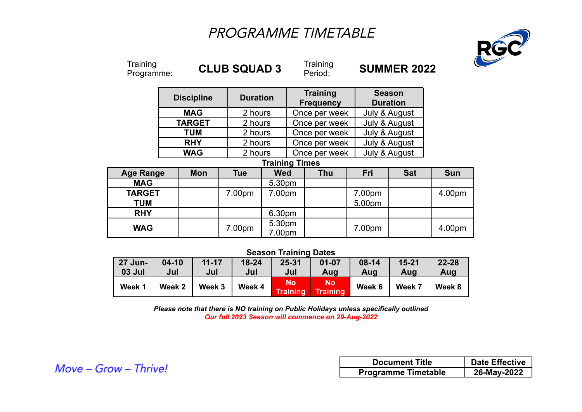## PROGRAMME TIMETABLE



| Training<br>Programme: |                   |            |            | <b>CLUB SQUAD 3</b>   |  | Training<br>Period:                 | <b>SUMMER 2022</b> |                                  |            |
|------------------------|-------------------|------------|------------|-----------------------|--|-------------------------------------|--------------------|----------------------------------|------------|
|                        | <b>Discipline</b> |            |            | <b>Duration</b>       |  | <b>Training</b><br><b>Frequency</b> |                    | <b>Season</b><br><b>Duration</b> |            |
|                        | <b>MAG</b>        |            |            | 2 hours               |  | Once per week                       |                    | July & August                    |            |
|                        | <b>TARGET</b>     |            |            | 2 hours               |  | Once per week                       |                    | July & August                    |            |
|                        | <b>TUM</b>        |            |            | 2 hours               |  | Once per week                       |                    | July & August                    |            |
|                        | <b>RHY</b>        |            |            | 2 hours               |  | Once per week                       |                    | July & August                    |            |
|                        | <b>WAG</b>        |            |            | 2 hours               |  | Once per week                       |                    | July & August                    |            |
|                        |                   |            |            | <b>Training Times</b> |  |                                     |                    |                                  |            |
| <b>Age Range</b>       |                   | <b>Mon</b> | <b>Tue</b> | <b>Wed</b>            |  | <b>Thu</b>                          | Fri                | <b>Sat</b>                       | <b>Sun</b> |
| <b>MAG</b>             |                   |            |            | 5.30pm                |  |                                     |                    |                                  |            |
| <b>TARGET</b>          |                   |            | 7.00pm     | 7.00pm                |  |                                     | 7.00pm             |                                  | 4.00pm     |
| <b>TUM</b>             |                   |            |            |                       |  |                                     | 5.00pm             |                                  |            |
| <b>RHY</b>             |                   |            |            | 6.30pm                |  |                                     |                    |                                  |            |
| <b>WAG</b>             |                   |            | 7.00pm     | 5.30pm<br>7.00pm      |  |                                     | 7.00pm             |                                  | 4.00pm     |

## **Season Training Dates**

| <b>27 Jun-</b> | $04 - 10$ | $11 - 17$ | $18 - 24$ | $25 - 31$             | $01 - 07$      | $08 - 14$ | $15 - 21$ | $22 - 28$ |
|----------------|-----------|-----------|-----------|-----------------------|----------------|-----------|-----------|-----------|
| <b>03 Jul</b>  | Jul       | Jul       | Jul       | Jul                   | Aug            | Aug       | Aug       | Aug       |
| Week 1         | Week 2    | Week 3    | Week 4    | No<br><b>Training</b> | No<br>Training | Week 6    | Week 7    | Week 8    |

*Please note that there is NO training on Public Holidays unless specifically outlined Our full 2023 Season will commence on 29-Aug-2022*

| <b>Document Title</b>      | <b>Date Effective</b> |  |  |
|----------------------------|-----------------------|--|--|
| <b>Programme Timetable</b> | 26-May-2022           |  |  |

Move - Grow - Thrive!